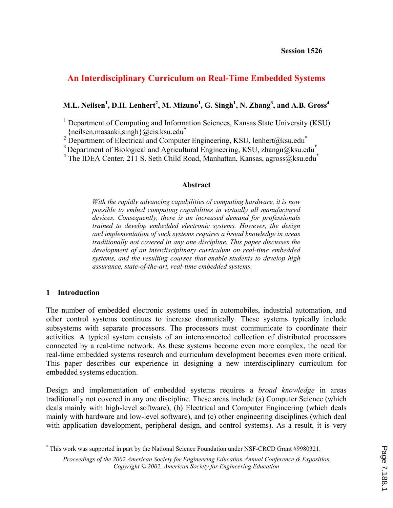# **An Interdisciplinary Curriculum on Real-Time Embedded Systems**

## **M.L. Neilsen1 , D.H. Lenhert<sup>2</sup> , M. Mizuno<sup>1</sup> , G. Singh1 , N. Zhang3 , and A.B. Gross<sup>4</sup>**

<sup>1</sup> Department of Computing and Information Sciences, Kansas State University (KSU)  ${neilsen,masaaki, singh}$  $@cis.ksu.edu^*$ 

<sup>2</sup> Department of Electrical and Computer Engineering, KSU, lenhert@ksu.edu<sup>\*</sup>

<sup>3</sup> Department of Biological and Agricultural Engineering, KSU, zhangn@ksu.edu<sup>\*</sup>

<sup>4</sup> The IDEA Center, 211 S. Seth Child Road, Manhattan, Kansas, agross@ksu.edu<sup>\*</sup>

#### **Abstract**

*With the rapidly advancing capabilities of computing hardware, it is now possible to embed computing capabilities in virtually all manufactured devices. Consequently, there is an increased demand for professionals trained to develop embedded electronic systems. However, the design and implementation of such systems requires a broad knowledge in areas traditionally not covered in any one discipline. This paper discusses the development of an interdisciplinary curriculum on real-time embedded systems, and the resulting courses that enable students to develop high assurance, state-of-the-art, real-time embedded systems.* 

#### **1 Introduction**

 $\overline{\phantom{a}}$ 

The number of embedded electronic systems used in automobiles, industrial automation, and other control systems continues to increase dramatically. These systems typically include subsystems with separate processors. The processors must communicate to coordinate their activities. A typical system consists of an interconnected collection of distributed processors connected by a real-time network. As these systems become even more complex, the need for real-time embedded systems research and curriculum development becomes even more critical. This paper describes our experience in designing a new interdisciplinary curriculum for embedded systems education.

Design and implementation of embedded systems requires a *broad knowledge* in areas traditionally not covered in any one discipline. These areas include (a) Computer Science (which deals mainly with high-level software), (b) Electrical and Computer Engineering (which deals mainly with hardware and low-level software), and (c) other engineering disciplines (which deal with application development, peripheral design, and control systems). As a result, it is very

<sup>\*</sup> This work was supported in part by the National Science Foundation under NSF-CRCD Grant #9980321.

*Proceedings of the 2002 American Society for Engineering Education Annual Conference & Exposition Copyright © 2002, American Society for Engineering Education*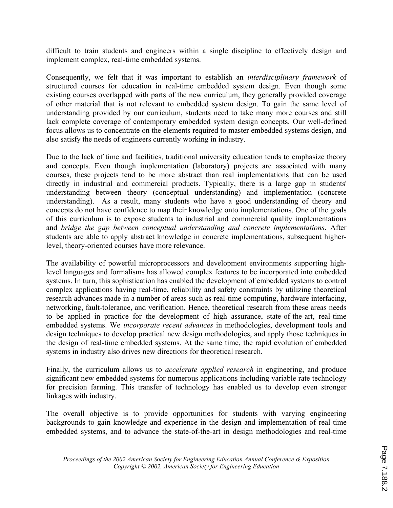difficult to train students and engineers within a single discipline to effectively design and implement complex, real-time embedded systems.

Consequently, we felt that it was important to establish an *interdisciplinary framework* of structured courses for education in real-time embedded system design. Even though some existing courses overlapped with parts of the new curriculum, they generally provided coverage of other material that is not relevant to embedded system design. To gain the same level of understanding provided by our curriculum, students need to take many more courses and still lack complete coverage of contemporary embedded system design concepts. Our well-defined focus allows us to concentrate on the elements required to master embedded systems design, and also satisfy the needs of engineers currently working in industry.

Due to the lack of time and facilities, traditional university education tends to emphasize theory and concepts. Even though implementation (laboratory) projects are associated with many courses, these projects tend to be more abstract than real implementations that can be used directly in industrial and commercial products. Typically, there is a large gap in students' understanding between theory (conceptual understanding) and implementation (concrete understanding). As a result, many students who have a good understanding of theory and concepts do not have confidence to map their knowledge onto implementations. One of the goals of this curriculum is to expose students to industrial and commercial quality implementations and *bridge the gap between conceptual understanding and concrete implementations*. After students are able to apply abstract knowledge in concrete implementations, subsequent higherlevel, theory-oriented courses have more relevance.

The availability of powerful microprocessors and development environments supporting highlevel languages and formalisms has allowed complex features to be incorporated into embedded systems. In turn, this sophistication has enabled the development of embedded systems to control complex applications having real-time, reliability and safety constraints by utilizing theoretical research advances made in a number of areas such as real-time computing, hardware interfacing, networking, fault-tolerance, and verification. Hence, theoretical research from these areas needs to be applied in practice for the development of high assurance, state-of-the-art, real-time embedded systems. We *incorporate recent advances* in methodologies, development tools and design techniques to develop practical new design methodologies, and apply those techniques in the design of real-time embedded systems. At the same time, the rapid evolution of embedded systems in industry also drives new directions for theoretical research.

Finally, the curriculum allows us to *accelerate applied research* in engineering, and produce significant new embedded systems for numerous applications including variable rate technology for precision farming. This transfer of technology has enabled us to develop even stronger linkages with industry.

The overall objective is to provide opportunities for students with varying engineering backgrounds to gain knowledge and experience in the design and implementation of real-time embedded systems, and to advance the state-of-the-art in design methodologies and real-time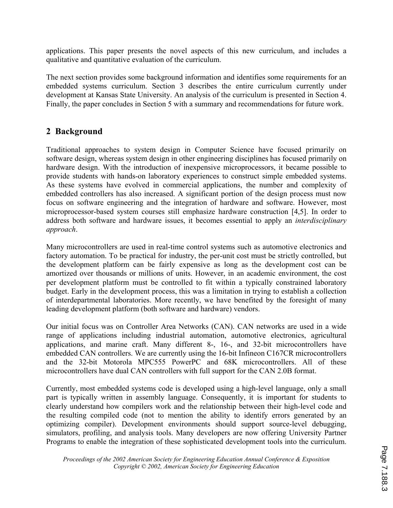applications. This paper presents the novel aspects of this new curriculum, and includes a qualitative and quantitative evaluation of the curriculum.

The next section provides some background information and identifies some requirements for an embedded systems curriculum. Section 3 describes the entire curriculum currently under development at Kansas State University. An analysis of the curriculum is presented in Section 4. Finally, the paper concludes in Section 5 with a summary and recommendations for future work.

## **2 Background**

Traditional approaches to system design in Computer Science have focused primarily on software design, whereas system design in other engineering disciplines has focused primarily on hardware design. With the introduction of inexpensive microprocessors, it became possible to provide students with hands-on laboratory experiences to construct simple embedded systems. As these systems have evolved in commercial applications, the number and complexity of embedded controllers has also increased. A significant portion of the design process must now focus on software engineering and the integration of hardware and software. However, most microprocessor-based system courses still emphasize hardware construction [4,5]. In order to address both software and hardware issues, it becomes essential to apply an *interdisciplinary approach*.

Many microcontrollers are used in real-time control systems such as automotive electronics and factory automation. To be practical for industry, the per-unit cost must be strictly controlled, but the development platform can be fairly expensive as long as the development cost can be amortized over thousands or millions of units. However, in an academic environment, the cost per development platform must be controlled to fit within a typically constrained laboratory budget. Early in the development process, this was a limitation in trying to establish a collection of interdepartmental laboratories. More recently, we have benefited by the foresight of many leading development platform (both software and hardware) vendors.

Our initial focus was on Controller Area Networks (CAN). CAN networks are used in a wide range of applications including industrial automation, automotive electronics, agricultural applications, and marine craft. Many different 8-, 16-, and 32-bit microcontrollers have embedded CAN controllers. We are currently using the 16-bit Infineon C167CR microcontrollers and the 32-bit Motorola MPC555 PowerPC and 68K microcontrollers. All of these microcontrollers have dual CAN controllers with full support for the CAN 2.0B format.

Currently, most embedded systems code is developed using a high-level language, only a small part is typically written in assembly language. Consequently, it is important for students to clearly understand how compilers work and the relationship between their high-level code and the resulting compiled code (not to mention the ability to identify errors generated by an optimizing compiler). Development environments should support source-level debugging, simulators, profiling, and analysis tools. Many developers are now offering University Partner Programs to enable the integration of these sophisticated development tools into the curriculum.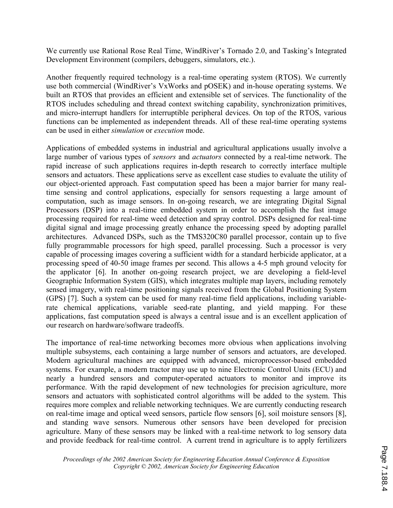We currently use Rational Rose Real Time, WindRiver's Tornado 2.0, and Tasking's Integrated Development Environment (compilers, debuggers, simulators, etc.).

Another frequently required technology is a real-time operating system (RTOS). We currently use both commercial (WindRiver's VxWorks and pOSEK) and in-house operating systems. We built an RTOS that provides an efficient and extensible set of services. The functionality of the RTOS includes scheduling and thread context switching capability, synchronization primitives, and micro-interrupt handlers for interruptible peripheral devices. On top of the RTOS, various functions can be implemented as independent threads. All of these real-time operating systems can be used in either *simulation* or *execution* mode.

Applications of embedded systems in industrial and agricultural applications usually involve a large number of various types of *sensors* and *actuators* connected by a real-time network. The rapid increase of such applications requires in-depth research to correctly interface multiple sensors and actuators. These applications serve as excellent case studies to evaluate the utility of our object-oriented approach. Fast computation speed has been a major barrier for many realtime sensing and control applications, especially for sensors requesting a large amount of computation, such as image sensors. In on-going research, we are integrating Digital Signal Processors (DSP) into a real-time embedded system in order to accomplish the fast image processing required for real-time weed detection and spray control. DSPs designed for real-time digital signal and image processing greatly enhance the processing speed by adopting parallel architectures. Advanced DSPs, such as the TMS320C80 parallel processor, contain up to five fully programmable processors for high speed, parallel processing. Such a processor is very capable of processing images covering a sufficient width for a standard herbicide applicator, at a processing speed of 40-50 image frames per second. This allows a 4-5 mph ground velocity for the applicator [6]. In another on-going research project, we are developing a field-level Geographic Information System (GIS), which integrates multiple map layers, including remotely sensed imagery, with real-time positioning signals received from the Global Positioning System (GPS) [7]. Such a system can be used for many real-time field applications, including variablerate chemical applications, variable seed-rate planting, and yield mapping. For these applications, fast computation speed is always a central issue and is an excellent application of our research on hardware/software tradeoffs.

The importance of real-time networking becomes more obvious when applications involving multiple subsystems, each containing a large number of sensors and actuators, are developed. Modern agricultural machines are equipped with advanced, microprocessor-based embedded systems. For example, a modern tractor may use up to nine Electronic Control Units (ECU) and nearly a hundred sensors and computer-operated actuators to monitor and improve its performance. With the rapid development of new technologies for precision agriculture, more sensors and actuators with sophisticated control algorithms will be added to the system. This requires more complex and reliable networking techniques. We are currently conducting research on real-time image and optical weed sensors, particle flow sensors [6], soil moisture sensors [8], and standing wave sensors. Numerous other sensors have been developed for precision agriculture. Many of these sensors may be linked with a real-time network to log sensory data and provide feedback for real-time control. A current trend in agriculture is to apply fertilizers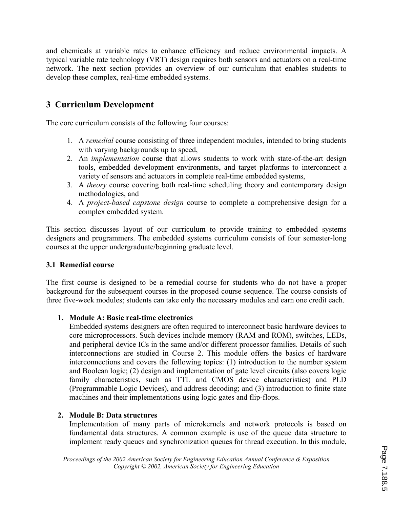and chemicals at variable rates to enhance efficiency and reduce environmental impacts. A typical variable rate technology (VRT) design requires both sensors and actuators on a real-time network. The next section provides an overview of our curriculum that enables students to develop these complex, real-time embedded systems.

# **3 Curriculum Development**

The core curriculum consists of the following four courses:

- 1. A *remedial* course consisting of three independent modules, intended to bring students with varying backgrounds up to speed,
- 2. An *implementation* course that allows students to work with state-of-the-art design tools, embedded development environments, and target platforms to interconnect a variety of sensors and actuators in complete real-time embedded systems,
- 3. A *theory* course covering both real-time scheduling theory and contemporary design methodologies, and
- 4. A *project-based capstone design* course to complete a comprehensive design for a complex embedded system.

This section discusses layout of our curriculum to provide training to embedded systems designers and programmers. The embedded systems curriculum consists of four semester-long courses at the upper undergraduate/beginning graduate level.

### **3.1 Remedial course**

The first course is designed to be a remedial course for students who do not have a proper background for the subsequent courses in the proposed course sequence. The course consists of three five-week modules; students can take only the necessary modules and earn one credit each.

### **1. Module A: Basic real-time electronics**

Embedded systems designers are often required to interconnect basic hardware devices to core microprocessors. Such devices include memory (RAM and ROM), switches, LEDs, and peripheral device ICs in the same and/or different processor families. Details of such interconnections are studied in Course 2. This module offers the basics of hardware interconnections and covers the following topics: (1) introduction to the number system and Boolean logic; (2) design and implementation of gate level circuits (also covers logic family characteristics, such as TTL and CMOS device characteristics) and PLD (Programmable Logic Devices), and address decoding; and (3) introduction to finite state machines and their implementations using logic gates and flip-flops.

#### **2. Module B: Data structures**

Implementation of many parts of microkernels and network protocols is based on fundamental data structures. A common example is use of the queue data structure to implement ready queues and synchronization queues for thread execution. In this module,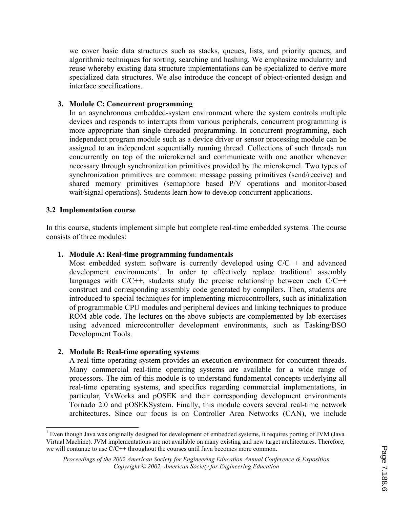we cover basic data structures such as stacks, queues, lists, and priority queues, and algorithmic techniques for sorting, searching and hashing. We emphasize modularity and reuse whereby existing data structure implementations can be specialized to derive more specialized data structures. We also introduce the concept of object-oriented design and interface specifications.

#### **3. Module C: Concurrent programming**

In an asynchronous embedded-system environment where the system controls multiple devices and responds to interrupts from various peripherals, concurrent programming is more appropriate than single threaded programming. In concurrent programming, each independent program module such as a device driver or sensor processing module can be assigned to an independent sequentially running thread. Collections of such threads run concurrently on top of the microkernel and communicate with one another whenever necessary through synchronization primitives provided by the microkernel. Two types of synchronization primitives are common: message passing primitives (send/receive) and shared memory primitives (semaphore based P/V operations and monitor-based wait/signal operations). Students learn how to develop concurrent applications.

#### **3.2 Implementation course**

In this course, students implement simple but complete real-time embedded systems. The course consists of three modules:

#### **1. Module A: Real-time programming fundamentals**

Most embedded system software is currently developed using C/C++ and advanced development environments<sup>1</sup>. In order to effectively replace traditional assembly languages with  $C/C++$ , students study the precise relationship between each  $C/C++$ construct and corresponding assembly code generated by compilers. Then, students are introduced to special techniques for implementing microcontrollers, such as initialization of programmable CPU modules and peripheral devices and linking techniques to produce ROM-able code. The lectures on the above subjects are complemented by lab exercises using advanced microcontroller development environments, such as Tasking/BSO Development Tools.

#### **2. Module B: Real-time operating systems**

A real-time operating system provides an execution environment for concurrent threads. Many commercial real-time operating systems are available for a wide range of processors. The aim of this module is to understand fundamental concepts underlying all real-time operating systems, and specifics regarding commercial implementations, in particular, VxWorks and pOSEK and their corresponding development environments Tornado 2.0 and pOSEKSystem. Finally, this module covers several real-time network architectures. Since our focus is on Controller Area Networks (CAN), we include

 $\overline{\phantom{a}}$ <sup>1</sup> Even though Java was originally designed for development of embedded systems, it requires porting of JVM (Java Virtual Machine). JVM implementations are not available on many existing and new target architectures. Therefore, we will contunue to use  $C/C++$  throughout the courses until Java becomes more common.

*Proceedings of the 2002 American Society for Engineering Education Annual Conference & Exposition Copyright © 2002, American Society for Engineering Education*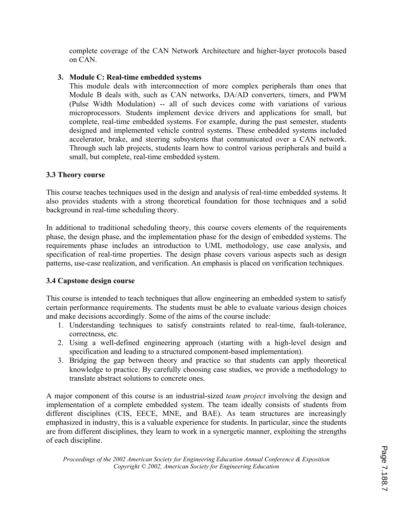complete coverage of the CAN Network Architecture and higher-layer protocols based on CAN.

## **3. Module C: Real-time embedded systems**

This module deals with interconnection of more complex peripherals than ones that Module B deals with, such as CAN networks, DA/AD converters, timers, and PWM (Pulse Width Modulation) -- all of such devices come with variations of various microprocessors. Students implement device drivers and applications for small, but complete, real-time embedded systems. For example, during the past semester, students designed and implemented vehicle control systems. These embedded systems included accelerator, brake, and steering subsystems that communicated over a CAN network. Through such lab projects, students learn how to control various peripherals and build a small, but complete, real-time embedded system.

### **3.3 Theory course**

This course teaches techniques used in the design and analysis of real-time embedded systems. It also provides students with a strong theoretical foundation for those techniques and a solid background in real-time scheduling theory.

In additional to traditional scheduling theory, this course covers elements of the requirements phase, the design phase, and the implementation phase for the design of embedded systems. The requirements phase includes an introduction to UML methodology, use case analysis, and specification of real-time properties. The design phase covers various aspects such as design patterns, use-case realization, and verification. An emphasis is placed on verification techniques.

## **3.4 Capstone design course**

This course is intended to teach techniques that allow engineering an embedded system to satisfy certain performance requirements. The students must be able to evaluate various design choices and make decisions accordingly. Some of the aims of the course include:

- 1. Understanding techniques to satisfy constraints related to real-time, fault-tolerance, correctness, etc.
- 2. Using a well-defined engineering approach (starting with a high-level design and specification and leading to a structured component-based implementation).
- 3. Bridging the gap between theory and practice so that students can apply theoretical knowledge to practice. By carefully choosing case studies, we provide a methodology to translate abstract solutions to concrete ones.

A major component of this course is an industrial-sized *team project* involving the design and implementation of a complete embedded system. The team ideally consists of students from different disciplines (CIS, EECE, MNE, and BAE). As team structures are increasingly emphasized in industry, this is a valuable experience for students. In particular, since the students are from different disciplines, they learn to work in a synergetic manner, exploiting the strengths of each discipline.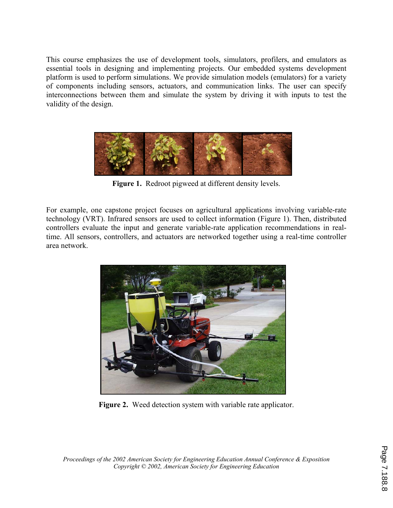This course emphasizes the use of development tools, simulators, profilers, and emulators as essential tools in designing and implementing projects. Our embedded systems development platform is used to perform simulations. We provide simulation models (emulators) for a variety of components including sensors, actuators, and communication links. The user can specify interconnections between them and simulate the system by driving it with inputs to test the validity of the design.



**Figure 1.** Redroot pigweed at different density levels.

For example, one capstone project focuses on agricultural applications involving variable-rate technology (VRT). Infrared sensors are used to collect information (Figure 1). Then, distributed controllers evaluate the input and generate variable-rate application recommendations in realtime. All sensors, controllers, and actuators are networked together using a real-time controller area network.



**Figure 2.** Weed detection system with variable rate applicator.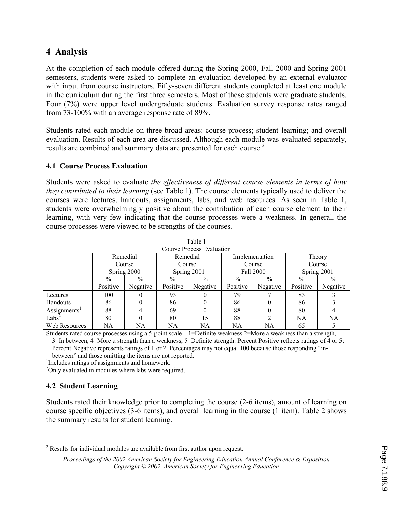## **4 Analysis**

At the completion of each module offered during the Spring 2000, Fall 2000 and Spring 2001 semesters, students were asked to complete an evaluation developed by an external evaluator with input from course instructors. Fifty-seven different students completed at least one module in the curriculum during the first three semesters. Most of these students were graduate students. Four (7%) were upper level undergraduate students. Evaluation survey response rates ranged from 73-100% with an average response rate of 89%.

Students rated each module on three broad areas: course process; student learning; and overall evaluation. Results of each area are discussed. Although each module was evaluated separately, results are combined and summary data are presented for each course.<sup>2</sup>

### **4.1 Course Process Evaluation**

Students were asked to evaluate *the effectiveness of different course elements in terms of how they contributed to their learning* (see Table 1). The course elements typically used to deliver the courses were lectures, handouts, assignments, labs, and web resources. As seen in Table 1, students were overwhelmingly positive about the contribution of each course element to their learning, with very few indicating that the course processes were a weakness. In general, the course processes were viewed to be strengths of the courses.

 $T = 1$ 

| rabie i                   |                                   |          |                                   |               |                                       |               |                                 |          |  |
|---------------------------|-----------------------------------|----------|-----------------------------------|---------------|---------------------------------------|---------------|---------------------------------|----------|--|
| Course Process Evaluation |                                   |          |                                   |               |                                       |               |                                 |          |  |
|                           | Remedial<br>Course<br>Spring 2000 |          | Remedial<br>Course<br>Spring 2001 |               | Implementation<br>Course<br>Fall 2000 |               | Theory<br>Course<br>Spring 2001 |          |  |
|                           |                                   |          |                                   |               |                                       |               |                                 |          |  |
|                           |                                   |          |                                   |               |                                       |               |                                 |          |  |
|                           | $\%$                              | $\%$     | $\%$                              | $\frac{0}{0}$ | $\frac{0}{0}$                         | $\frac{0}{0}$ | $\frac{0}{0}$                   | $\%$     |  |
|                           | Positive                          | Negative | Positive                          | Negative      | Positive                              | Negative      | Positive                        | Negative |  |
| Lectures                  | 100                               |          | 93                                |               | 79                                    |               | 83                              |          |  |
| <b>Handouts</b>           | 86                                |          | 86                                |               | 86                                    | $^{(1)}$      | 86                              |          |  |
| $\text{Assignments}^1$    | 88                                | 4        | 69                                |               | 88                                    | 0             | 80                              |          |  |
| Labs <sup>2</sup>         | 80                                | 0        | 80                                | 15            | 88                                    | ↑             | NA                              | NA       |  |
| Web Resources             | NA                                | NA       | NA                                | NA            | NA                                    | NA            | 65                              |          |  |

Students rated course processes using a 5-point scale – 1=Definite weakness 2=More a weakness than a strength, 3=In between, 4=More a strength than a weakness, 5=Definite strength. Percent Positive reflects ratings of 4 or 5;

Percent Negative represents ratings of 1 or 2. Percentages may not equal 100 because those responding "inbetween" and those omitting the items are not reported.

<sup>1</sup>Includes ratings of assignments and homework.

<sup>2</sup>Only evaluated in modules where labs were required.

## **4.2 Student Learning**

 $\overline{\phantom{a}}$ 

Students rated their knowledge prior to completing the course (2-6 items), amount of learning on course specific objectives (3-6 items), and overall learning in the course (1 item). Table 2 shows the summary results for student learning.

 $2^2$  Results for individual modules are available from first author upon request.

*Proceedings of the 2002 American Society for Engineering Education Annual Conference & Exposition Copyright © 2002, American Society for Engineering Education*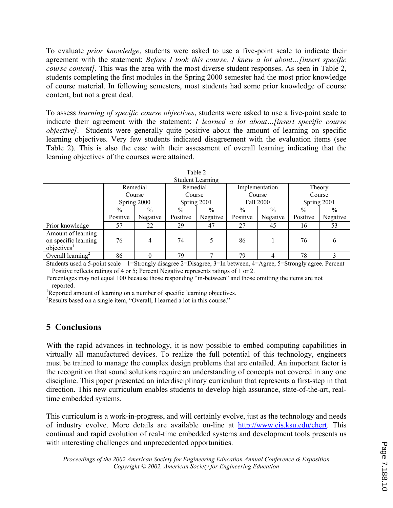To evaluate *prior knowledge*, students were asked to use a five-point scale to indicate their agreement with the statement: *Before I took this course, I knew a lot about…[insert specific course content].* This was the area with the most diverse student responses. As seen in Table 2, students completing the first modules in the Spring 2000 semester had the most prior knowledge of course material. In following semesters, most students had some prior knowledge of course content, but not a great deal.

To assess *learning of specific course objectives*, students were asked to use a five-point scale to indicate their agreement with the statement: *I learned a lot about…[insert specific course objective]*. Students were generally quite positive about the amount of learning on specific learning objectives. Very few students indicated disagreement with the evaluation items (see Table 2). This is also the case with their assessment of overall learning indicating that the learning objectives of the courses were attained.

|                                                                       |                                   |               |                                   | <b>Student Learning</b> |                                       |               |                                 |               |
|-----------------------------------------------------------------------|-----------------------------------|---------------|-----------------------------------|-------------------------|---------------------------------------|---------------|---------------------------------|---------------|
|                                                                       | Remedial<br>Course<br>Spring 2000 |               | Remedial<br>Course<br>Spring 2001 |                         | Implementation<br>Course<br>Fall 2000 |               | Theory<br>Course<br>Spring 2001 |               |
|                                                                       |                                   |               |                                   |                         |                                       |               |                                 |               |
|                                                                       |                                   |               |                                   |                         |                                       |               |                                 |               |
|                                                                       | $\frac{0}{0}$                     | $\frac{0}{0}$ | $\frac{0}{0}$                     | $\frac{0}{0}$           | $\frac{0}{0}$                         | $\frac{0}{0}$ | $\%$                            | $\frac{0}{0}$ |
|                                                                       | Positive                          | Negative      | Positive                          | Negative                | Positive                              | Negative      | Positive                        | Negative      |
| Prior knowledge                                                       | 57                                | 22            | 29                                | 47                      | 27                                    | 45            | 16                              | 53            |
| Amount of learning<br>on specific learning<br>objectives <sup>1</sup> | 76                                | 4             | 74                                |                         | 86                                    |               | 76                              | 6             |
| Overall learning <sup>2</sup>                                         | 86                                |               | 79                                |                         | 79                                    | 4             | 78                              |               |

| Table 2                                  |  |  |  |  |  |  |  |
|------------------------------------------|--|--|--|--|--|--|--|
| $1 + 1 - 1 - 1$<br>$0.0$ masses $\alpha$ |  |  |  |  |  |  |  |

Students used a 5-point scale – 1=Strongly disagree 2=Disagree, 3=In between, 4=Agree, 5=Strongly agree. Percent Positive reflects ratings of 4 or 5; Percent Negative represents ratings of 1 or 2.

Percentages may not equal 100 because those responding "in-between" and those omitting the items are not reported.

<sup>1</sup>Reported amount of learning on a number of specific learning objectives.

<sup>2</sup>Results based on a single item, "Overall, I learned a lot in this course."

# **5 Conclusions**

With the rapid advances in technology, it is now possible to embed computing capabilities in virtually all manufactured devices. To realize the full potential of this technology, engineers must be trained to manage the complex design problems that are entailed. An important factor is the recognition that sound solutions require an understanding of concepts not covered in any one discipline. This paper presented an interdisciplinary curriculum that represents a first-step in that direction. This new curriculum enables students to develop high assurance, state-of-the-art, realtime embedded systems.

This curriculum is a work-in-progress, and will certainly evolve, just as the technology and needs of industry evolve. More details are available on-line at http://www.cis.ksu.edu/chert. This continual and rapid evolution of real-time embedded systems and development tools presents us with interesting challenges and unprecedented opportunities.